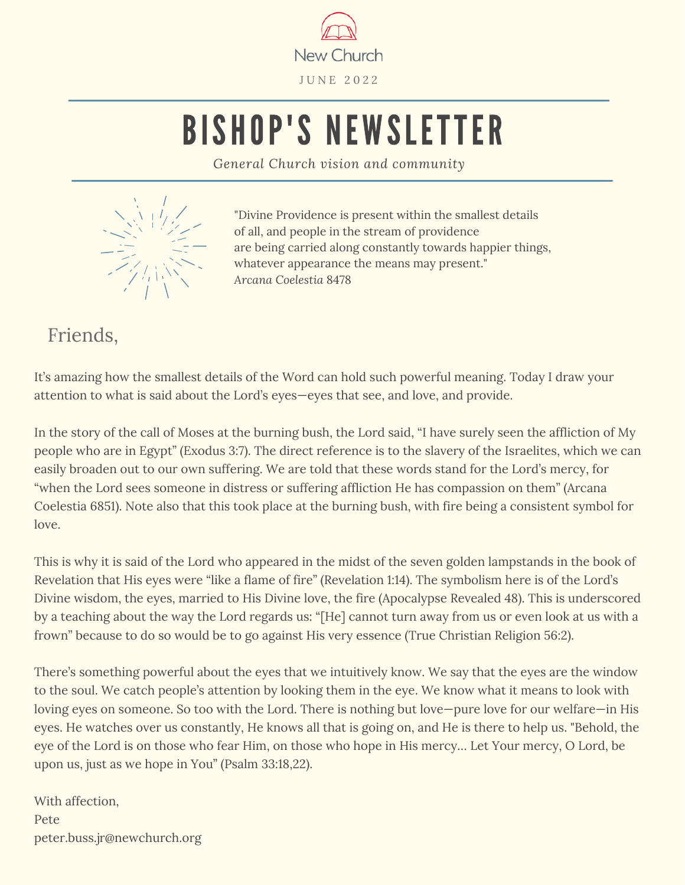

# BISHOP'S NEWSLETTER

*General Church vision and community*



"Divine Providence is present within the smallest details of all, and people in the stream of providence are being carried along constantly towards happier things, whatever appearance the means may present." *Arcana Coelestia* 8478

Friends,

It's amazing how the smallest details of the Word can hold such powerful meaning. Today I draw your attention to what is said about the Lord's eyes—eyes that see, and love, and provide.

In the story of the call of Moses at the burning bush, the Lord said, "I have surely seen the affliction of My people who are in Egypt" (Exodus 3:7). The direct reference is to the slavery of the Israelites, which we can easily broaden out to our own suffering. We are told that these words stand for the Lord's mercy, for "when the Lord sees someone in distress or suffering affliction He has compassion on them" (Arcana Coelestia 6851). Note also that this took place at the burning bush, with fire being a consistent symbol for love.

This is why it is said of the Lord who appeared in the midst of the seven golden lampstands in the book of Revelation that His eyes were "like a flame of fire" (Revelation 1:14). The symbolism here is of the Lord's Divine wisdom, the eyes, married to His Divine love, the fire (Apocalypse Revealed 48). This is underscored by a teaching about the way the Lord regards us: "[He] cannot turn away from us or even look at us with a frown" because to do so would be to go against His very essence (True Christian Religion 56:2).

There's something powerful about the eyes that we intuitively know. We say that the eyes are the window to the soul. We catch people's attention by looking them in the eye. We know what it means to look with loving eyes on someone. So too with the Lord. There is nothing but love—pure love for our welfare—in His eyes. He watches over us constantly, He knows all that is going on, and He is there to help us. "Behold, the eye of the Lord is on those who fear Him, on those who hope in His mercy… Let Your mercy, O Lord, be upon us, just as we hope in You" (Psalm 33:18,22).

With affection, Pete peter.buss.jr@newchurch.org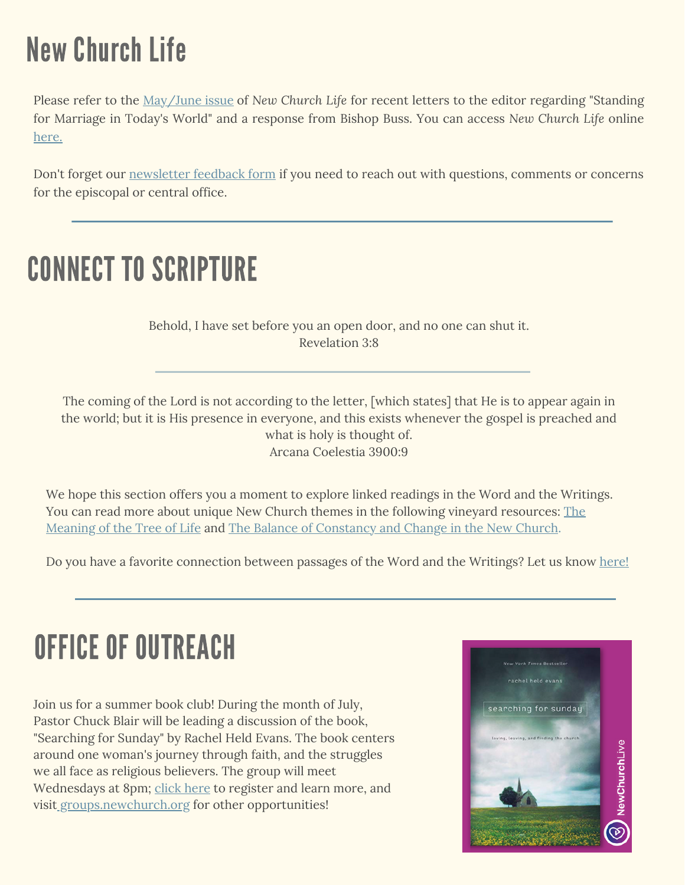### New Church Life

Please refer to the [May/June](https://newchurch.org/wp-content/uploads/2022/06/NCL-May-June-2022.pdf) issue of *New Church Life* for recent letters to the editor regarding "Standing for Marriage in Today's World" and a response from Bishop Buss. You can access *New Church Life* online [here.](https://newchurch.org/resources/publications/new-church-life/archives/)

Don't forget our [newsletter](https://forms.office.com/Pages/ResponsePage.aspx?id=31gvsJda4UmkKXfKsIkdhTtH7v_qVpVPsGT9pkSEVLRUQjNUTlBaSTFBVzRFNUkzOU1BRlAxNFJaOS4u) feedback form if you need to reach out with questions, comments or concerns for the episcopal or central office.

#### CONNECT TO SCRIPTURE

Behold, I have set before you an open door, and no one can shut it. Revelation 3:8

The coming of the Lord is not according to the letter, [which states] that He is to appear again in the world; but it is His presence in everyone, and this exists whenever the gospel is preached and what is holy is thought of. Arcana Coelestia 3900:9

We hope this section offers you a moment to explore linked readings in the Word and the Writings. You can read more about unique New Church themes in the following vineyard resources: The Meaning of the Tree of Life and The Balance of [Constancy](https://www.newchurchvineyard.org/file/sermon-the-meaning-of-the-tree-of-life-genesis01.pdf) and Change in the New Church.

Do you have a favorite connection bet[w](https://forms.office.com/Pages/ResponsePage.aspx?id=31gvsJda4UmkKXfKsIkdhTtH7v_qVpVPsGT9pkSEVLRUMjBPVTU0R0tUSTA5OVhaNVpKWjU1SDlYSi4u&fsw=0)een passages of the Word and the Writings? Let us know [here](https://forms.office.com/Pages/ResponsePage.aspx?id=31gvsJda4UmkKXfKsIkdhTtH7v_qVpVPsGT9pkSEVLRUQjNUTlBaSTFBVzRFNUkzOU1BRlAxNFJaOS4u)[!](https://forms.office.com/Pages/ResponsePage.aspx?id=31gvsJda4UmkKXfKsIkdhTtH7v_qVpVPsGT9pkSEVLRUNFVXWjI2UU43SFYwQzFXQVlJQk0xVDBZQy4u)

#### OFFICE OF OUTREACH

Join us for a summer book club! During the month of July, Pastor Chuck Blair will be leading a discussion of the book, "Searching for Sunday" by Rachel Held Evans. The book centers around one woman's journey through faith, and the struggles we all face as religious believers. The group will meet Wednesdays at 8pm; click [here](https://resources.newchurchlive.tv/summer-book-club) to register and learn more, and visit [groups.newchurch.org](http://groups.newchurch.org/) for other opportunities!